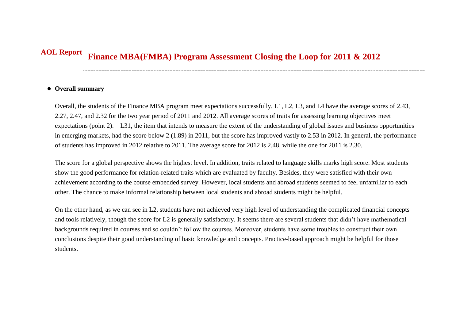## **Finance MBA(FMBA) Program Assessment Closing the Loop for 2011 & 2012 AOL Report**

## **Overall summary**

Overall, the students of the Finance MBA program meet expectations successfully. L1, L2, L3, and L4 have the average scores of 2.43, 2.27, 2.47, and 2.32 for the two year period of 2011 and 2012. All average scores of traits for assessing learning objectives meet expectations (point 2). L31, the item that intends to measure the extent of the understanding of global issues and business opportunities in emerging markets, had the score below 2 (1.89) in 2011, but the score has improved vastly to 2.53 in 2012. In general, the performance of students has improved in 2012 relative to 2011. The average score for 2012 is 2.48, while the one for 2011 is 2.30.

The score for a global perspective shows the highest level. In addition, traits related to language skills marks high score. Most students show the good performance for relation-related traits which are evaluated by faculty. Besides, they were satisfied with their own achievement according to the course embedded survey. However, local students and abroad students seemed to feel unfamiliar to each other. The chance to make informal relationship between local students and abroad students might be helpful.

On the other hand, as we can see in L2, students have not achieved very high level of understanding the complicated financial concepts and tools relatively, though the score for L2 is generally satisfactory. It seems there are several students that didn't have mathematical backgrounds required in courses and so couldn't follow the courses. Moreover, students have some troubles to construct their own conclusions despite their good understanding of basic knowledge and concepts. Practice-based approach might be helpful for those students.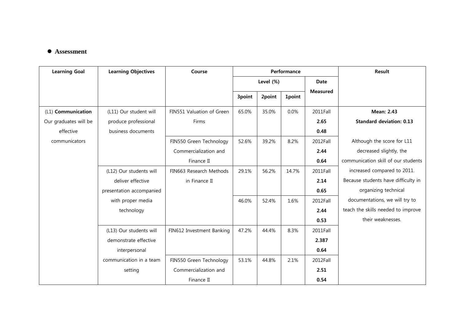## **Assessment**

| <b>Learning Goal</b>  | <b>Learning Objectives</b> | Course                    | Performance |        |               |                 | Result                              |
|-----------------------|----------------------------|---------------------------|-------------|--------|---------------|-----------------|-------------------------------------|
|                       |                            |                           | Level (%)   |        |               | <b>Date</b>     |                                     |
|                       |                            |                           | 3point      | 2point | <b>1point</b> | <b>Measured</b> |                                     |
| (L1) Communication    | (L11) Our student will     | FIN551 Valuation of Green | 65.0%       | 35.0%  | 0.0%          | 2011Fall        | <b>Mean: 2.43</b>                   |
| Our graduates will be | produce professional       | Firms                     |             |        |               | 2.65            | <b>Standard deviation: 0.13</b>     |
| effective             | business documents         |                           |             |        |               | 0.48            |                                     |
| communicators         |                            | FIN550 Green Technology   | 52.6%       | 39.2%  | 8.2%          | 2012Fall        | Although the score for L11          |
|                       |                            | Commercialization and     |             |        |               | 2.44            | decreased slightly, the             |
|                       |                            | Finance II                |             |        |               | 0.64            | communication skill of our students |
|                       | (L12) Our students will    | FIN663 Research Methods   | 29.1%       | 56.2%  | 14.7%         | 2011Fall        | increased compared to 2011.         |
|                       | deliver effective          | in Finance II             |             |        |               | 2.14            | Because students have difficulty in |
|                       | presentation accompanied   |                           |             |        |               | 0.65            | organizing technical                |
|                       | with proper media          |                           | 46.0%       | 52.4%  | 1.6%          | 2012Fall        | documentations, we will try to      |
|                       | technology                 |                           |             |        |               | 2.44            | teach the skills needed to improve  |
|                       |                            |                           |             |        |               | 0.53            | their weaknesses.                   |
|                       | (L13) Our students will    | FIN612 Investment Banking | 47.2%       | 44.4%  | 8.3%          | 2011Fall        |                                     |
|                       | demonstrate effective      |                           |             |        |               | 2.387           |                                     |
|                       | interpersonal              |                           |             |        |               | 0.64            |                                     |
|                       | communication in a team    | FIN550 Green Technology   | 53.1%       | 44.8%  | 2.1%          | 2012Fall        |                                     |
|                       | setting                    | Commercialization and     |             |        |               | 2.51            |                                     |
|                       |                            | Finance II                |             |        |               | 0.54            |                                     |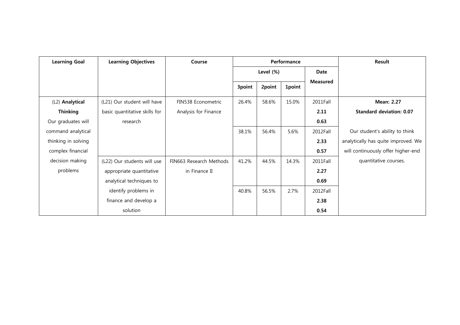| <b>Learning Goal</b> | <b>Learning Objectives</b>    | Course                  | Performance |        |               | Result          |                                     |
|----------------------|-------------------------------|-------------------------|-------------|--------|---------------|-----------------|-------------------------------------|
|                      |                               |                         | Level (%)   |        |               | <b>Date</b>     |                                     |
|                      |                               |                         | 3point      | 2point | <b>1point</b> | <b>Measured</b> |                                     |
|                      |                               |                         |             |        |               |                 |                                     |
| (L2) Analytical      | (L21) Our student will have   | FIN538 Econometric      | 26.4%       | 58.6%  | 15.0%         | 2011Fall        | <b>Mean: 2.27</b>                   |
| <b>Thinking</b>      | basic quantitative skills for | Analysis for Finance    |             |        |               | 2.11            | <b>Standard deviation: 0.07</b>     |
| Our graduates will   | research                      |                         |             |        |               | 0.63            |                                     |
| command analytical   |                               |                         | 38.1%       | 56.4%  | 5.6%          | 2012Fall        | Our student's ability to think      |
| thinking in solving  |                               |                         |             |        |               | 2.33            | analytically has quite improved. We |
| complex financial    |                               |                         |             |        |               | 0.57            | will continuously offer higher-end  |
| decision making      | (L22) Our students will use   | FIN663 Research Methods | 41.2%       | 44.5%  | 14.3%         | 2011Fall        | quantitative courses.               |
| problems             | appropriate quantitative      | in Finance II           |             |        |               | 2.27            |                                     |
|                      | analytical techniques to      |                         |             |        |               | 0.69            |                                     |
|                      | identify problems in          |                         | 40.8%       | 56.5%  | 2.7%          | 2012Fall        |                                     |
|                      | finance and develop a         |                         |             |        |               | 2.38            |                                     |
|                      | solution                      |                         |             |        |               | 0.54            |                                     |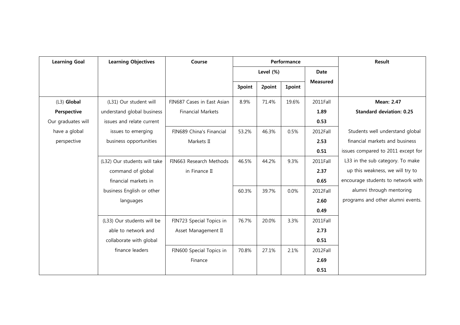| <b>Learning Goal</b> | <b>Learning Objectives</b>   | Course                     | Performance |        |               | <b>Result</b>   |                                    |
|----------------------|------------------------------|----------------------------|-------------|--------|---------------|-----------------|------------------------------------|
|                      |                              |                            | Level (%)   |        | <b>Date</b>   |                 |                                    |
|                      |                              |                            | 3point      | 2point | <b>1point</b> | <b>Measured</b> |                                    |
| (L3) Global          | (L31) Our student will       | FIN687 Cases in East Asian | 8.9%        | 71.4%  | 19.6%         | 2011Fall        | <b>Mean: 2.47</b>                  |
| Perspective          | understand global business   | <b>Financial Markets</b>   |             |        |               | 1.89            | <b>Standard deviation: 0.25</b>    |
| Our graduates will   | issues and relate current    |                            |             |        |               | 0.53            |                                    |
| have a global        | issues to emerging           | FIN689 China's Financial   | 53.2%       | 46.3%  | 0.5%          | 2012Fall        | Students well understand global    |
| perspective          | business opportunities       | Markets II                 |             |        |               | 2.53            | financial markets and business     |
|                      |                              |                            |             |        |               | 0.51            | issues compared to 2011 except for |
|                      | (L32) Our students will take | FIN663 Research Methods    | 46.5%       | 44.2%  | 9.3%          | 2011Fall        | L33 in the sub category. To make   |
|                      | command of global            | in Finance II              |             |        |               | 2.37            | up this weakness, we will try to   |
|                      | financial markets in         |                            |             |        |               | 0.65            | encourage students to network with |
|                      | business English or other    |                            | 60.3%       | 39.7%  | 0.0%          | 2012Fall        | alumni through mentoring           |
|                      | languages                    |                            |             |        |               | 2.60            | programs and other alumni events.  |
|                      |                              |                            |             |        |               | 0.49            |                                    |
|                      | (L33) Our students will be   | FIN723 Special Topics in   | 76.7%       | 20.0%  | 3.3%          | 2011Fall        |                                    |
|                      | able to network and          | Asset Management II        |             |        |               | 2.73            |                                    |
|                      | collaborate with global      |                            |             |        |               | 0.51            |                                    |
|                      | finance leaders              | FIN600 Special Topics in   | 70.8%       | 27.1%  | 2.1%          | 2012Fall        |                                    |
|                      |                              | Finance                    |             |        |               | 2.69            |                                    |
|                      |                              |                            |             |        |               | 0.51            |                                    |